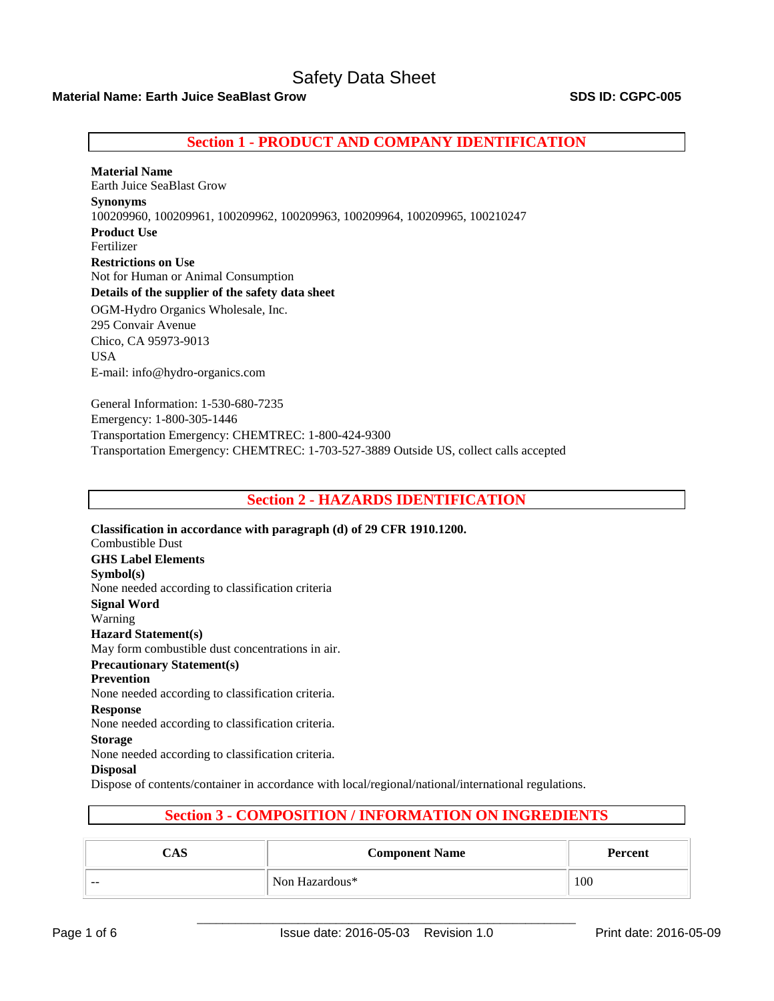# **Material Name: Earth Juice SeaBlast Grow SDS ID: CGPC-005**

# **Section 1 - PRODUCT AND COMPANY IDENTIFICATION**

**Material Name**  Earth Juice SeaBlast Grow **Synonyms** 100209960, 100209961, 100209962, 100209963, 100209964, 100209965, 100210247 **Product Use** Fertilizer **Restrictions on Use** Not for Human or Animal Consumption **Details of the supplier of the safety data sheet** OGM-Hydro Organics Wholesale, Inc. 295 Convair Avenue Chico, CA 95973-9013 USA E-mail: info@hydro-organics.com

General Information: 1-530-680-7235 Emergency: 1-800-305-1446 Transportation Emergency: CHEMTREC: 1-800-424-9300 Transportation Emergency: CHEMTREC: 1-703-527-3889 Outside US, collect calls accepted

## **Section 2 - HAZARDS IDENTIFICATION**

**Classification in accordance with paragraph (d) of 29 CFR 1910.1200.**  Combustible Dust **GHS Label Elements Symbol(s)**  None needed according to classification criteria **Signal Word**  Warning **Hazard Statement(s)**  May form combustible dust concentrations in air. **Precautionary Statement(s) Prevention**  None needed according to classification criteria. **Response**  None needed according to classification criteria. **Storage**  None needed according to classification criteria. **Disposal**  Dispose of contents/container in accordance with local/regional/national/international regulations.

# **Section 3 - COMPOSITION / INFORMATION ON INGREDIENTS**

| CAS   | <b>Component Name</b> | Percent |
|-------|-----------------------|---------|
| $- -$ | Non Hazardous*        | 100     |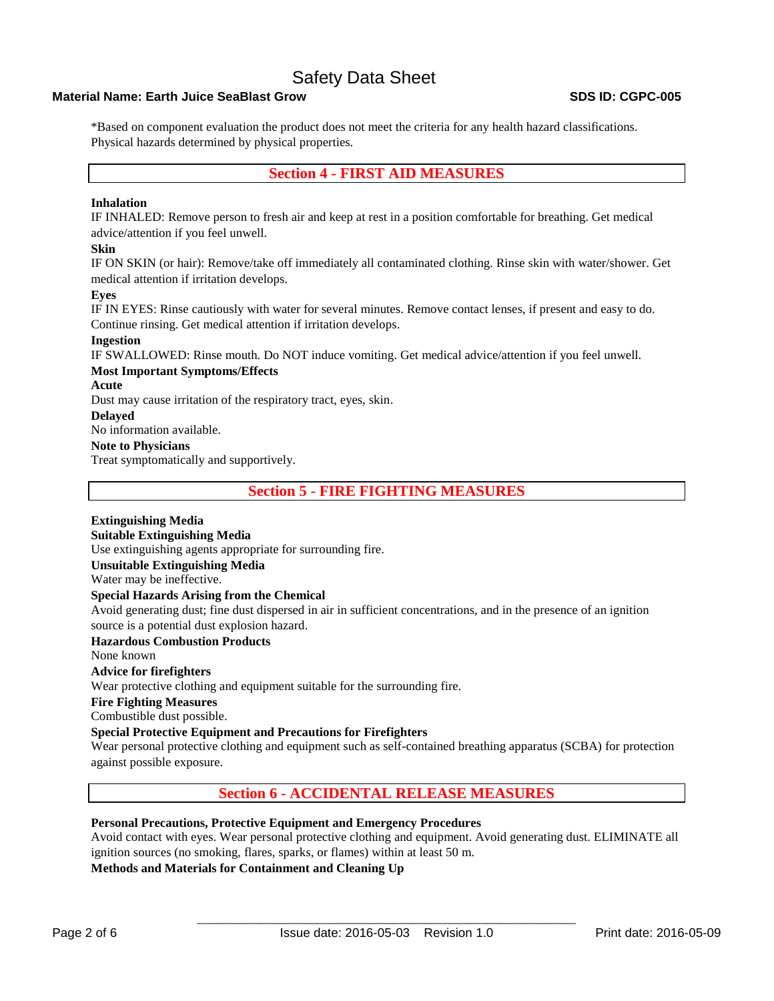## **Material Name: Earth Juice SeaBlast Grow SDS ID: CGPC-005**

\*Based on component evaluation the product does not meet the criteria for any health hazard classifications. Physical hazards determined by physical properties.

# **Section 4 - FIRST AID MEASURES**

#### **Inhalation**

IF INHALED: Remove person to fresh air and keep at rest in a position comfortable for breathing. Get medical advice/attention if you feel unwell.

#### **Skin**

IF ON SKIN (or hair): Remove/take off immediately all contaminated clothing. Rinse skin with water/shower. Get medical attention if irritation develops.

#### **Eyes**

IF IN EYES: Rinse cautiously with water for several minutes. Remove contact lenses, if present and easy to do. Continue rinsing. Get medical attention if irritation develops.

#### **Ingestion**

IF SWALLOWED: Rinse mouth. Do NOT induce vomiting. Get medical advice/attention if you feel unwell.

#### **Most Important Symptoms/Effects**

#### **Acute**

Dust may cause irritation of the respiratory tract, eyes, skin.

#### **Delayed**

No information available.

#### **Note to Physicians**

Treat symptomatically and supportively.

**Section 5 - FIRE FIGHTING MEASURES**

## **Extinguishing Media**

## **Suitable Extinguishing Media**

Use extinguishing agents appropriate for surrounding fire.

#### **Unsuitable Extinguishing Media**

Water may be ineffective.

### **Special Hazards Arising from the Chemical**

Avoid generating dust; fine dust dispersed in air in sufficient concentrations, and in the presence of an ignition source is a potential dust explosion hazard.

#### **Hazardous Combustion Products**

None known

### **Advice for firefighters**

Wear protective clothing and equipment suitable for the surrounding fire.

# **Fire Fighting Measures**

Combustible dust possible.

### **Special Protective Equipment and Precautions for Firefighters**

Wear personal protective clothing and equipment such as self-contained breathing apparatus (SCBA) for protection against possible exposure.

# **Section 6 - ACCIDENTAL RELEASE MEASURES**

### **Personal Precautions, Protective Equipment and Emergency Procedures**

Avoid contact with eyes. Wear personal protective clothing and equipment. Avoid generating dust. ELIMINATE all ignition sources (no smoking, flares, sparks, or flames) within at least 50 m.

### **Methods and Materials for Containment and Cleaning Up**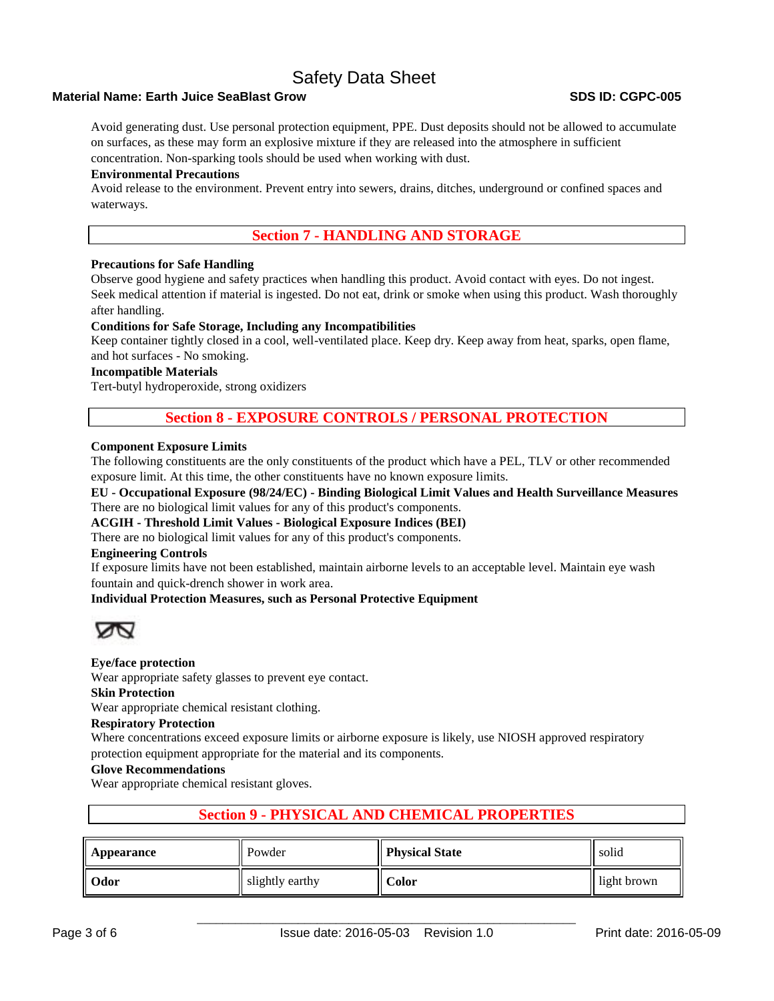## **Material Name: Earth Juice SeaBlast Grow SDS ID: CGPC-005**

Avoid generating dust. Use personal protection equipment, PPE. Dust deposits should not be allowed to accumulate on surfaces, as these may form an explosive mixture if they are released into the atmosphere in sufficient concentration. Non-sparking tools should be used when working with dust.

#### **Environmental Precautions**

Avoid release to the environment. Prevent entry into sewers, drains, ditches, underground or confined spaces and waterways.

# **Section 7 - HANDLING AND STORAGE**

#### **Precautions for Safe Handling**

Observe good hygiene and safety practices when handling this product. Avoid contact with eyes. Do not ingest. Seek medical attention if material is ingested. Do not eat, drink or smoke when using this product. Wash thoroughly after handling.

#### **Conditions for Safe Storage, Including any Incompatibilities**

Keep container tightly closed in a cool, well-ventilated place. Keep dry. Keep away from heat, sparks, open flame, and hot surfaces - No smoking.

### **Incompatible Materials**

Tert-butyl hydroperoxide, strong oxidizers

# **Section 8 - EXPOSURE CONTROLS / PERSONAL PROTECTION**

#### **Component Exposure Limits**

The following constituents are the only constituents of the product which have a PEL, TLV or other recommended exposure limit. At this time, the other constituents have no known exposure limits.

**EU - Occupational Exposure (98/24/EC) - Binding Biological Limit Values and Health Surveillance Measures**  There are no biological limit values for any of this product's components.

**ACGIH - Threshold Limit Values - Biological Exposure Indices (BEI)** 

There are no biological limit values for any of this product's components.

#### **Engineering Controls**

If exposure limits have not been established, maintain airborne levels to an acceptable level. Maintain eye wash fountain and quick-drench shower in work area.

### **Individual Protection Measures, such as Personal Protective Equipment**



#### **Eye/face protection**

Wear appropriate safety glasses to prevent eye contact.

#### **Skin Protection**

Wear appropriate chemical resistant clothing.

#### **Respiratory Protection**

Where concentrations exceed exposure limits or airborne exposure is likely, use NIOSH approved respiratory protection equipment appropriate for the material and its components.

#### **Glove Recommendations**

Wear appropriate chemical resistant gloves.

# **Section 9 - PHYSICAL AND CHEMICAL PROPERTIES**

| Appearance | Powder          | <b>Physical State</b> | solid       |
|------------|-----------------|-----------------------|-------------|
| Odor       | slightly earthy | Color                 | light brown |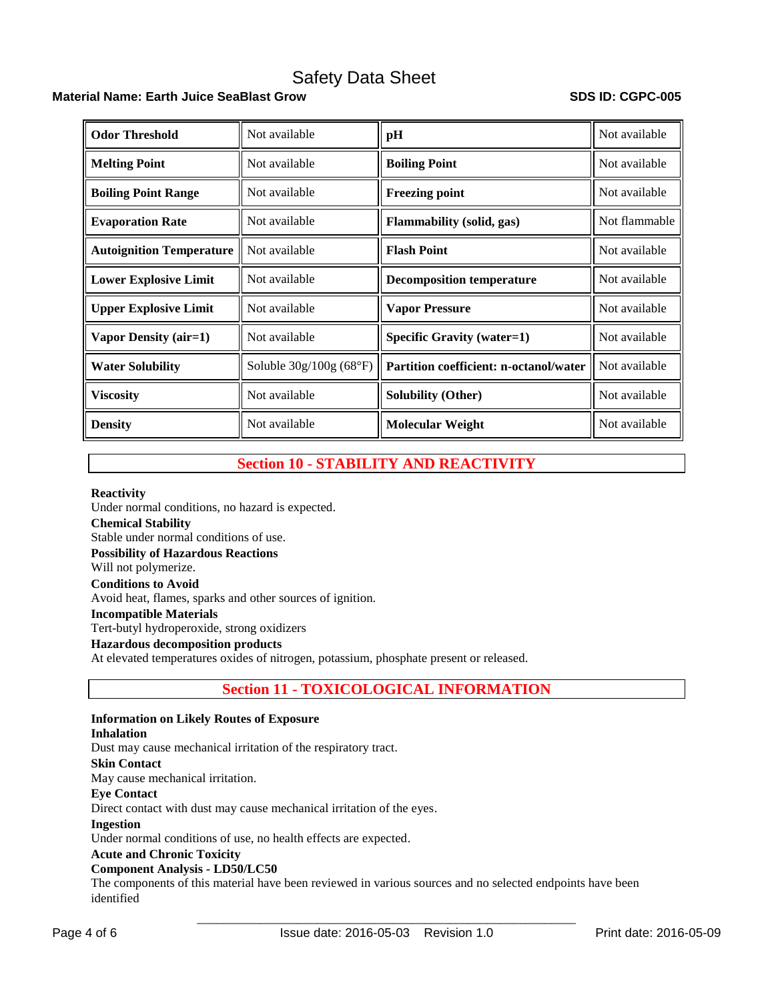# **Material Name: Earth Juice SeaBlast Grow SDS ID: CGPC-005**

| <b>Odor Threshold</b>           | Not available            | pH                                     | Not available |
|---------------------------------|--------------------------|----------------------------------------|---------------|
| <b>Melting Point</b>            | Not available            | <b>Boiling Point</b>                   | Not available |
| <b>Boiling Point Range</b>      | Not available            | <b>Freezing point</b>                  | Not available |
| <b>Evaporation Rate</b>         | Not available            | Flammability (solid, gas)              | Not flammable |
| <b>Autoignition Temperature</b> | Not available            | <b>Flash Point</b>                     | Not available |
| <b>Lower Explosive Limit</b>    | Not available            | <b>Decomposition temperature</b>       | Not available |
| <b>Upper Explosive Limit</b>    | Not available            | <b>Vapor Pressure</b>                  | Not available |
| Vapor Density (air=1)           | Not available            | Specific Gravity (water=1)             | Not available |
| <b>Water Solubility</b>         | Soluble $30g/100g(68°F)$ | Partition coefficient: n-octanol/water | Not available |
| Viscosity                       | Not available            | <b>Solubility (Other)</b>              | Not available |
| <b>Density</b>                  | Not available            | <b>Molecular Weight</b>                | Not available |

# **Section 10 - STABILITY AND REACTIVITY**

#### **Reactivity**

Under normal conditions, no hazard is expected. **Chemical Stability** Stable under normal conditions of use. **Possibility of Hazardous Reactions** Will not polymerize. **Conditions to Avoid** Avoid heat, flames, sparks and other sources of ignition. **Incompatible Materials** Tert-butyl hydroperoxide, strong oxidizers **Hazardous decomposition products** 

At elevated temperatures oxides of nitrogen, potassium, phosphate present or released.

# **Section 11 - TOXICOLOGICAL INFORMATION**

## **Information on Likely Routes of Exposure**

#### **Inhalation**

Dust may cause mechanical irritation of the respiratory tract.

#### **Skin Contact**

May cause mechanical irritation.

# **Eye Contact**

Direct contact with dust may cause mechanical irritation of the eyes.

#### **Ingestion**

Under normal conditions of use, no health effects are expected.

#### **Acute and Chronic Toxicity**

#### **Component Analysis - LD50/LC50**

The components of this material have been reviewed in various sources and no selected endpoints have been identified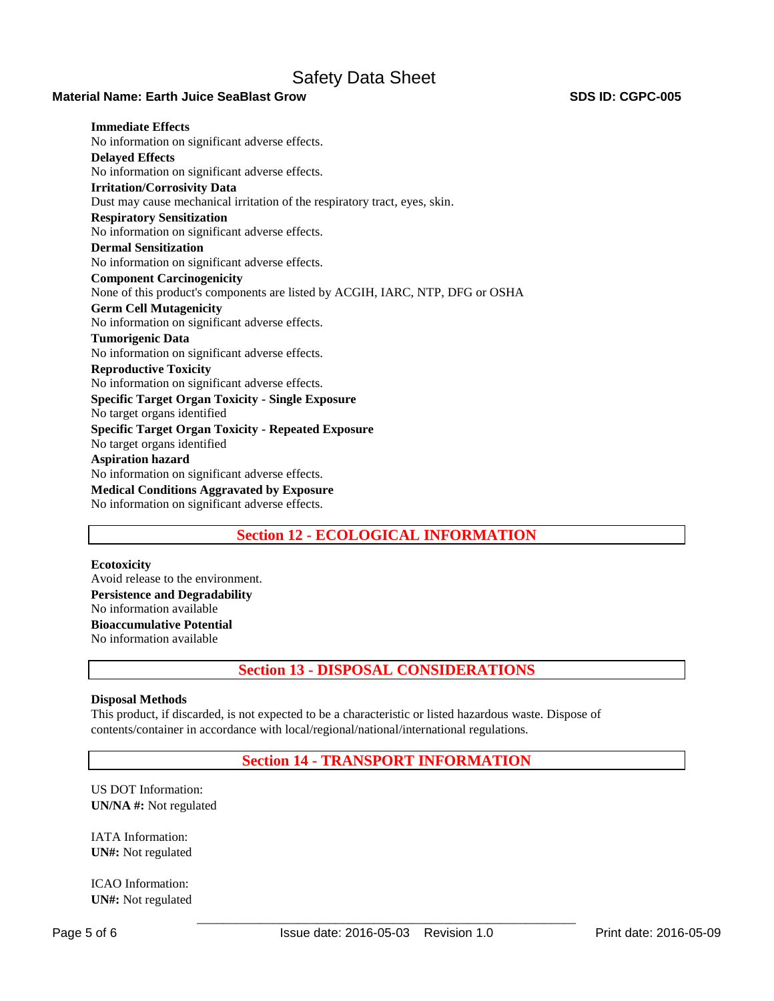### **Material Name: Earth Juice SeaBlast Grow SDS ID: CGPC-005**

**Immediate Effects**  No information on significant adverse effects. **Delayed Effects**  No information on significant adverse effects. **Irritation/Corrosivity Data**  Dust may cause mechanical irritation of the respiratory tract, eyes, skin. **Respiratory Sensitization**  No information on significant adverse effects. **Dermal Sensitization**  No information on significant adverse effects. **Component Carcinogenicity**  None of this product's components are listed by ACGIH, IARC, NTP, DFG or OSHA **Germ Cell Mutagenicity**  No information on significant adverse effects. **Tumorigenic Data**  No information on significant adverse effects. **Reproductive Toxicity**  No information on significant adverse effects. **Specific Target Organ Toxicity - Single Exposure**  No target organs identified **Specific Target Organ Toxicity - Repeated Exposure**  No target organs identified **Aspiration hazard**  No information on significant adverse effects. **Medical Conditions Aggravated by Exposure** No information on significant adverse effects.

# **Section 12 - ECOLOGICAL INFORMATION**

**Ecotoxicity**  Avoid release to the environment. **Persistence and Degradability**  No information available **Bioaccumulative Potential**  No information available

**Section 13 - DISPOSAL CONSIDERATIONS**

### **Disposal Methods**

This product, if discarded, is not expected to be a characteristic or listed hazardous waste. Dispose of contents/container in accordance with local/regional/national/international regulations.

# **Section 14 - TRANSPORT INFORMATION**

US DOT Information: **UN/NA #:** Not regulated

IATA Information: **UN#:** Not regulated

ICAO Information: **UN#:** Not regulated